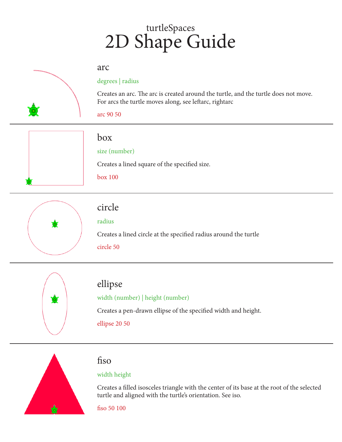# turtleSpaces 2D Shape Guide

#### arc



#### degrees | radius

Creates an arc. The arc is created around the turtle, and the turtle does not move. For arcs the turtle moves along, see leftarc, rightarc

arc 90 50



### box

#### size (number)

Creates a lined square of the specified size.

box 100



### circle

radius

Creates a lined circle at the specified radius around the turtle circle 50



### ellipse

#### width (number) | height (number)

Creates a pen-drawn ellipse of the specified width and height.

ellipse 20 50



### fiso

#### width height

Creates a filled isosceles triangle with the center of its base at the root of the selected turtle and aligned with the turtle's orientation. See iso.

fiso 50 100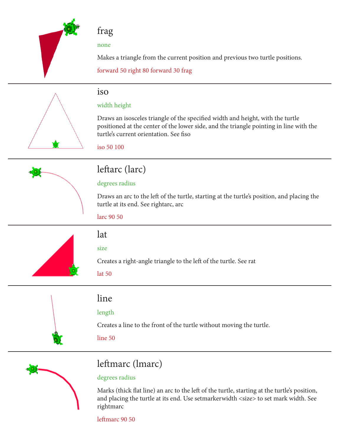

## frag

none

Makes a triangle from the current position and previous two turtle positions.

forward 50 right 80 forward 30 frag

### iso

### width height

Draws an isosceles triangle of the specified width and height, with the turtle positioned at the center of the lower side, and the triangle pointing in line with the turtle's current orientation. See fiso

iso 50 100



# leftarc (larc)

### degrees radius

Draws an arc to the left of the turtle, starting at the turtle's position, and placing the turtle at its end. See rightarc, arc

larc 90 50



# lat

### size

Creates a right-angle triangle to the left of the turtle. See rat

lat 50

# line

### length

Creates a line to the front of the turtle without moving the turtle.

line 50



# leftmarc (lmarc)

### degrees radius

Marks (thick flat line) an arc to the left of the turtle, starting at the turtle's position, and placing the turtle at its end. Use setmarkerwidth <size> to set mark width. See rightmarc

leftmarc 90 50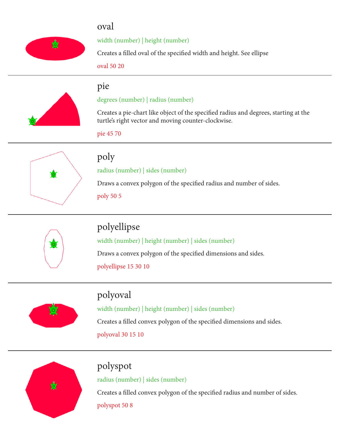# oval



width (number) | height (number)

Creates a filled oval of the specified width and height. See ellipse

oval 50 20

pie



degrees (number) | radius (number)

Creates a pie-chart like object of the specified radius and degrees, starting at the turtle's right vector and moving counter-clockwise.

pie 45 70



## poly

radius (number) | sides (number)

Draws a convex polygon of the specified radius and number of sides.

poly 50 5



# polyellipse

width (number) | height (number) | sides (number) Draws a convex polygon of the specified dimensions and sides. polyellipse 15 30 10



# polyoval

width (number) | height (number) | sides (number) Creates a filled convex polygon of the specified dimensions and sides. polyoval 30 15 10



# polyspot

radius (number) | sides (number)

Creates a filled convex polygon of the specified radius and number of sides.

polyspot 50 8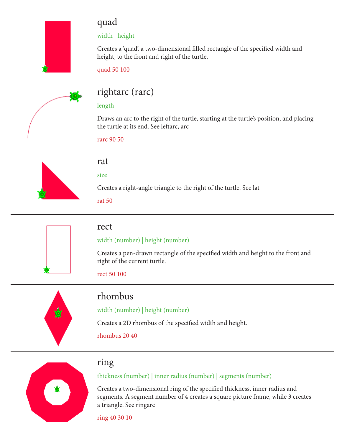# quad

### width | height

Creates a 'quad', a two-dimensional filled rectangle of the specified width and height, to the front and right of the turtle.

quad 50 100



# rightarc (rarc)

#### length

Draws an arc to the right of the turtle, starting at the turtle's position, and placing the turtle at its end. See leftarc, arc

rarc 90 50



### rat

#### size

Creates a right-angle triangle to the right of the turtle. See lat

rat 50



### rect

### width (number) | height (number)

Creates a pen-drawn rectangle of the specified width and height to the front and right of the current turtle.

rect 50 100



# rhombus

width (number) | height (number)

Creates a 2D rhombus of the specified width and height.

rhombus 20 40



# ring

thickness (number) | inner radius (number) | segments (number)

Creates a two-dimensional ring of the specified thickness, inner radius and segments. A segment number of 4 creates a square picture frame, while 3 creates a triangle. See ringarc

ring 40 30 10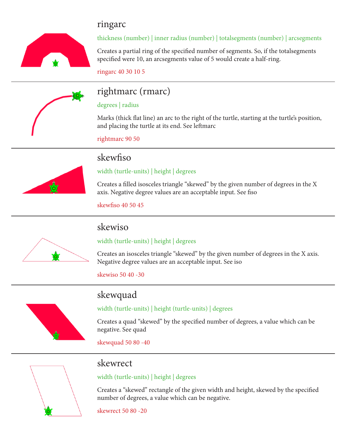# ringarc



### thickness (number) | inner radius (number) | totalsegments (number) | arcsegments

Creates a partial ring of the specified number of segments. So, if the totalsegments specified were 10, an arcsegments value of 5 would create a half-ring.

ringarc 40 30 10 5



# rightmarc (rmarc)

#### degrees | radius

Marks (thick flat line) an arc to the right of the turtle, starting at the turtle's position, and placing the turtle at its end. See leftmarc

rightmarc 90 50



# skewfiso

#### width (turtle-units) | height | degrees

Creates a filled isosceles triangle "skewed" by the given number of degrees in the X axis. Negative degree values are an acceptable input. See fiso

skewfiso 40 50 45



## skewiso

### width (turtle-units) | height | degrees

Creates an isosceles triangle "skewed" by the given number of degrees in the X axis. Negative degree values are an acceptable input. See iso

skewiso 50 40 -30

skewquad



### width (turtle-units) | height (turtle-units) | degrees

Creates a quad "skewed" by the specified number of degrees, a value which can be negative. See quad

skewquad 50 80 -40



### skewrect

width (turtle-units) | height | degrees

Creates a "skewed" rectangle of the given width and height, skewed by the specified number of degrees, a value which can be negative.

skewrect 50 80 -20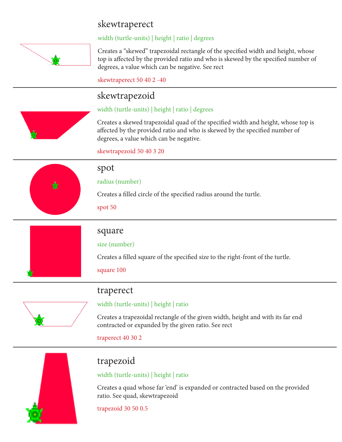# skewtraperect



width (turtle-units) | height | ratio | degrees

Creates a "skewed" trapezoidal rectangle of the specified width and height, whose top is affected by the provided ratio and who is skewed by the specified number of degrees, a value which can be negative. See rect

skewtraperect 50 40 2 -40

# skewtrapezoid

#### width (turtle-units) | height | ratio | degrees

Creates a skewed trapezoidal quad of the specified width and height, whose top is affected by the provided ratio and who is skewed by the specified number of degrees, a value which can be negative.

skewtrapezoid 50 40 3 20



### spot

radius (number)

Creates a filled circle of the specified radius around the turtle.

spot 50



### square

#### size (number)

Creates a filled square of the specified size to the right-front of the turtle.

square 100

### traperect

### width (turtle-units) | height | ratio

Creates a trapezoidal rectangle of the given width, height and with its far end contracted or expanded by the given ratio. See rect

traperect 40 30 2



# trapezoid

### width (turtle-units) | height | ratio

Creates a quad whose far 'end' is expanded or contracted based on the provided ratio. See quad, skewtrapezoid

#### trapezoid 30 50 0.5